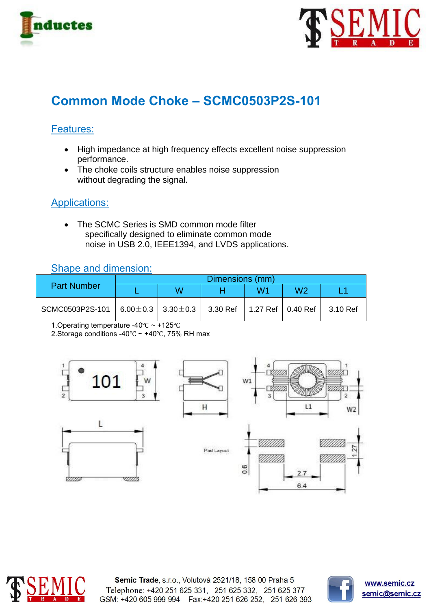



# **Common Mode Choke – SCMC0503P2S-101**

## Features:

- High impedance at high frequency effects excellent noise suppression performance.
- The choke coils structure enables noise suppression without degrading the signal.

## Applications:

• The SCMC Series is SMD common mode filter specifically designed to eliminate common mode noise in USB 2.0, IEEE1394, and LVDS applications.

## Shape and dimension:

| <b>Part Number</b>                                | Dimensions (mm) |   |                                |    |    |          |  |
|---------------------------------------------------|-----------------|---|--------------------------------|----|----|----------|--|
|                                                   |                 | W |                                | W1 | W2 |          |  |
| SCMC0503P2S-101   6.00 $\pm$ 0.3   3.30 $\pm$ 0.3 |                 |   | 3.30 Ref   1.27 Ref   0.40 Ref |    |    | 3.10 Ref |  |

1.Operating temperature -40℃ ~ +125℃

2.Storage conditions -40℃ ~ +40℃, 75% RH max





Semic Trade, s.r.o., Volutová 2521/18, 158 00 Praha 5 Telephone: +420 251 625 331, 251 625 332, 251 625 377 GSM: +420 605 999 994 Fax: +420 251 626 252, 251 626 393



www.semic.cz semic@semic.cz